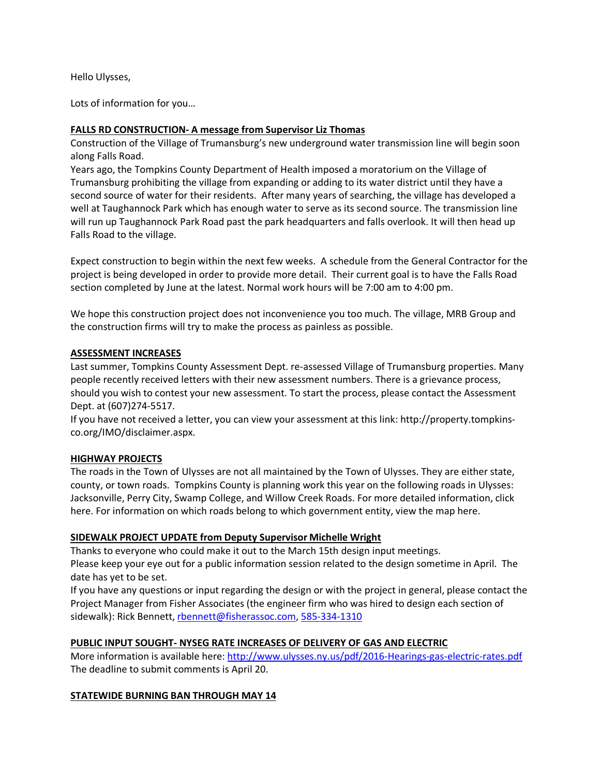Hello Ulysses,

Lots of information for you…

# **FALLS RD CONSTRUCTION- A message from Supervisor Liz Thomas**

Construction of the Village of Trumansburg's new underground water transmission line will begin soon along Falls Road.

Years ago, the Tompkins County Department of Health imposed a moratorium on the Village of Trumansburg prohibiting the village from expanding or adding to its water district until they have a second source of water for their residents. After many years of searching, the village has developed a well at Taughannock Park which has enough water to serve as its second source. The transmission line will run up Taughannock Park Road past the park headquarters and falls overlook. It will then head up Falls Road to the village.

Expect construction to begin within the next few weeks. A schedule from the General Contractor for the project is being developed in order to provide more detail. Their current goal is to have the Falls Road section completed by June at the latest. Normal work hours will be 7:00 am to 4:00 pm.

We hope this construction project does not inconvenience you too much. The village, MRB Group and the construction firms will try to make the process as painless as possible.

### **ASSESSMENT INCREASES**

Last summer, Tompkins County Assessment Dept. re-assessed Village of Trumansburg properties. Many people recently received letters with their new assessment numbers. There is a grievance process, should you wish to contest your new assessment. To start the process, please contact the Assessment Dept. at (607)274-5517.

If you have not received a letter, you can view your assessment at this link: http://property.tompkinsco.org/IMO/disclaimer.aspx.

### **HIGHWAY PROJECTS**

The roads in the Town of Ulysses are not all maintained by the Town of Ulysses. They are either state, county, or town roads. Tompkins County is planning work this year on the following roads in Ulysses: Jacksonville, Perry City, Swamp College, and Willow Creek Roads. For more detailed information, click here. For information on which roads belong to which government entity, view the map here.

# **SIDEWALK PROJECT UPDATE from Deputy Supervisor Michelle Wright**

Thanks to everyone who could make it out to the March 15th design input meetings. Please keep your eye out for a public information session related to the design sometime in April. The date has yet to be set.

If you have any questions or input regarding the design or with the project in general, please contact the Project Manager from Fisher Associates (the engineer firm who was hired to design each section of sidewalk): Rick Bennett, [rbennett@fisherassoc.com,](mailto:rbennett@fisherassoc.com) [585-334-1310](tel:585-334-1310)

# **PUBLIC INPUT SOUGHT- NYSEG RATE INCREASES OF DELIVERY OF GAS AND ELECTRIC**

More information is available here:<http://www.ulysses.ny.us/pdf/2016-Hearings-gas-electric-rates.pdf> The deadline to submit comments is April 20.

### **STATEWIDE BURNING BAN THROUGH MAY 14**